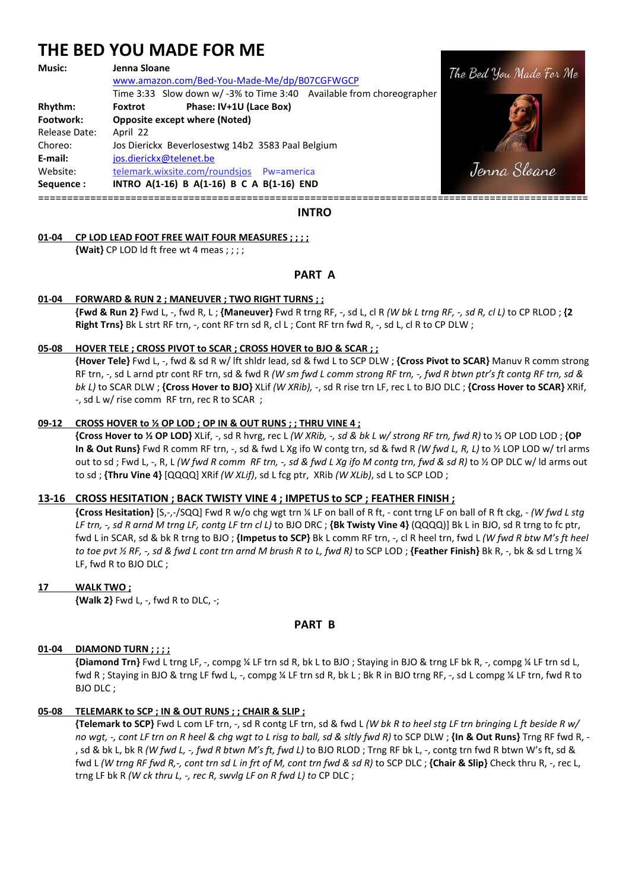# **THE BED YOU MADE FOR ME**

#### **Music: Jenna Sloane**

 www.amazon.com/Bed-You-Made-Me/dp/B07CGFWGCP Time 3:33 Slow down w/ -3% to Time 3:40 Available from choreographer **Rhythm: Foxtrot Phase: IV+1U (Lace Box) Footwork: Opposite except where (Noted)**  Release Date: April 22 Choreo: Jos Dierickx Beverlosestwg 14b2 3583 Paal Belgium **E-mail:** jos.dierickx@telenet.be Website: telemark.wixsite.com/roundsjos Pw=america **Sequence : INTRO A(1-16) B A(1-16) B C A B(1-16) END** 

===============================================================================================

#### **INTRO**

# **01-04 CP LOD LEAD FOOT FREE WAIT FOUR MEASURES ; ; ; ;**

 **{Wait}** CP LOD ld ft free wt 4 meas ; ; ; ;

# **PART A**

# **01-04 FORWARD & RUN 2 ; MANEUVER ; TWO RIGHT TURNS ; ;**

 **{Fwd & Run 2}** Fwd L, -, fwd R, L ; **{Maneuver}** Fwd R trng RF, -, sd L, cl R *(W bk L trng RF, -, sd R, cl L)* to CP RLOD ; **{2 Right Trns}** Bk L strt RF trn, -, cont RF trn sd R, cl L ; Cont RF trn fwd R, -, sd L, cl R to CP DLW ;

## **05-08 HOVER TELE ; CROSS PIVOT to SCAR ; CROSS HOVER to BJO & SCAR ; ;**

 **{Hover Tele}** Fwd L, -, fwd & sd R w/ lft shldr lead, sd & fwd L to SCP DLW ; **{Cross Pivot to SCAR}** Manuv R comm strong RF trn, -, sd L arnd ptr cont RF trn, sd & fwd R *(W sm fwd L comm strong RF trn, -, fwd R btwn ptr's ft contg RF trn, sd & bk L)* to SCAR DLW ; **{Cross Hover to BJO}** XLif *(W XRib),* -, sd R rise trn LF, rec L to BJO DLC ; **{Cross Hover to SCAR}** XRif, -, sd L w/ rise comm RF trn, rec R to SCAR ;

## **09-12 CROSS HOVER to ½ OP LOD ; OP IN & OUT RUNS ; ; THRU VINE 4 ;**

 **{Cross Hover to ½ OP LOD}** XLif, -, sd R hvrg, rec L *(W XRib, -, sd & bk L w/ strong RF trn, fwd R)* to ½ OP LOD LOD ; **{OP In & Out Runs}** Fwd R comm RF trn, -, sd & fwd L Xg ifo W contg trn, sd & fwd R *(W fwd L, R, L)* to ½ LOP LOD w/ trl arms out to sd ; Fwd L, -, R, L *(W fwd R comm RF trn, -, sd & fwd L Xg ifo M contg trn, fwd & sd R)* to ½ OP DLC w/ ld arms out to sd ; **{Thru Vine 4}** [QQQQ] XRif *(W XLif)*, sd L fcg ptr, XRib *(W XLib)*, sd L to SCP LOD ;

## **13-16 CROSS HESITATION ; BACK TWISTY VINE 4 ; IMPETUS to SCP ; FEATHER FINISH ;**

 **{Cross Hesitation}** [S,-,-/SQQ] Fwd R w/o chg wgt trn ¼ LF on ball of R ft, - cont trng LF on ball of R ft ckg, - *(W fwd L stg LF trn, -, sd R arnd M trng LF, contg LF trn cl L)* to BJO DRC ; **{Bk Twisty Vine 4}** (QQQQ)] Bk L in BJO, sd R trng to fc ptr, fwd L in SCAR, sd & bk R trng to BJO ; **{Impetus to SCP}** Bk L comm RF trn, -, cl R heel trn, fwd L *(W fwd R btw M's ft heel to toe pvt ½ RF, -, sd & fwd L cont trn arnd M brush R to L, fwd R)* to SCP LOD ; **{Feather Finish}** Bk R, -, bk & sd L trng ¼ LF, fwd R to BJO DLC ;

## **17 WALK TWO ;**

 **{Walk 2}** Fwd L, -, fwd R to DLC, -;

## **PART B**

## **01-04 DIAMOND TURN ; ; ; ;**

 **{Diamond Trn}** Fwd L trng LF, -, compg ¼ LF trn sd R, bk L to BJO ; Staying in BJO & trng LF bk R, -, compg ¼ LF trn sd L, fwd R ; Staying in BJO & trng LF fwd L, -, compg ¼ LF trn sd R, bk L ; Bk R in BJO trng RF, -, sd L compg ¼ LF trn, fwd R to BJO DLC ;

## **05-08 TELEMARK to SCP ; IN & OUT RUNS ; ; CHAIR & SLIP ;**

 **{Telemark to SCP}** Fwd L com LF trn, -, sd R contg LF trn, sd & fwd L *(W bk R to heel stg LF trn bringing L ft beside R w/ no wgt, -, cont LF trn on R heel & chg wgt to L risg to ball, sd & sltly fwd R)* to SCP DLW ; **{In & Out Runs}** Trng RF fwd R, - , sd & bk L, bk R *(W fwd L, -, fwd R btwn M's ft, fwd L)* to BJO RLOD ; Trng RF bk L, -, contg trn fwd R btwn W's ft, sd & fwd L *(W trng RF fwd R,-, cont trn sd L in frt of M, cont trn fwd & sd R)* to SCP DLC ; **{Chair & Slip}** Check thru R, -, rec L, trng LF bk R *(W ck thru L, -, rec R, swvlg LF on R fwd L) to* CP DLC ;